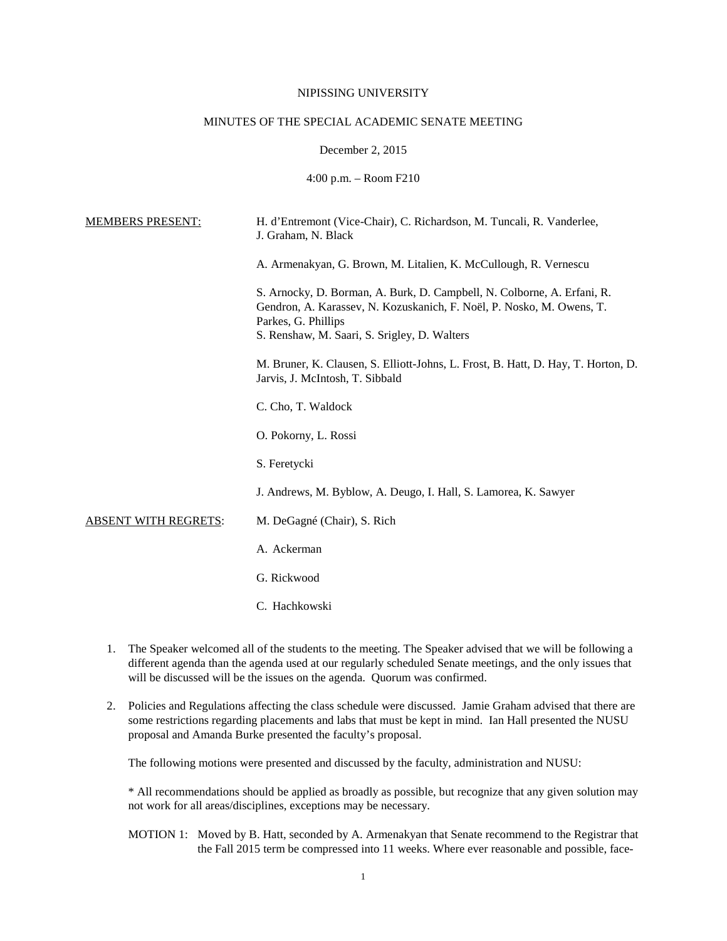### NIPISSING UNIVERSITY

#### MINUTES OF THE SPECIAL ACADEMIC SENATE MEETING

# December 2, 2015

4:00 p.m. – Room F210

| H. d'Entremont (Vice-Chair), C. Richardson, M. Tuncali, R. Vanderlee,<br>J. Graham, N. Black                                                                                                                            |
|-------------------------------------------------------------------------------------------------------------------------------------------------------------------------------------------------------------------------|
| A. Armenakyan, G. Brown, M. Litalien, K. McCullough, R. Vernescu                                                                                                                                                        |
| S. Arnocky, D. Borman, A. Burk, D. Campbell, N. Colborne, A. Erfani, R.<br>Gendron, A. Karassev, N. Kozuskanich, F. Noël, P. Nosko, M. Owens, T.<br>Parkes, G. Phillips<br>S. Renshaw, M. Saari, S. Srigley, D. Walters |
| M. Bruner, K. Clausen, S. Elliott-Johns, L. Frost, B. Hatt, D. Hay, T. Horton, D.<br>Jarvis, J. McIntosh, T. Sibbald                                                                                                    |
| C. Cho, T. Waldock                                                                                                                                                                                                      |
| O. Pokorny, L. Rossi                                                                                                                                                                                                    |
| S. Feretycki                                                                                                                                                                                                            |
| J. Andrews, M. Byblow, A. Deugo, I. Hall, S. Lamorea, K. Sawyer                                                                                                                                                         |
| M. DeGagné (Chair), S. Rich                                                                                                                                                                                             |
| A. Ackerman                                                                                                                                                                                                             |
| G. Rickwood                                                                                                                                                                                                             |
| C. Hachkowski                                                                                                                                                                                                           |
|                                                                                                                                                                                                                         |

- 1. The Speaker welcomed all of the students to the meeting. The Speaker advised that we will be following a different agenda than the agenda used at our regularly scheduled Senate meetings, and the only issues that will be discussed will be the issues on the agenda. Quorum was confirmed.
- 2. Policies and Regulations affecting the class schedule were discussed. Jamie Graham advised that there are some restrictions regarding placements and labs that must be kept in mind. Ian Hall presented the NUSU proposal and Amanda Burke presented the faculty's proposal.

The following motions were presented and discussed by the faculty, administration and NUSU:

\* All recommendations should be applied as broadly as possible, but recognize that any given solution may not work for all areas/disciplines, exceptions may be necessary.

MOTION 1: Moved by B. Hatt, seconded by A. Armenakyan that Senate recommend to the Registrar that the Fall 2015 term be compressed into 11 weeks. Where ever reasonable and possible, face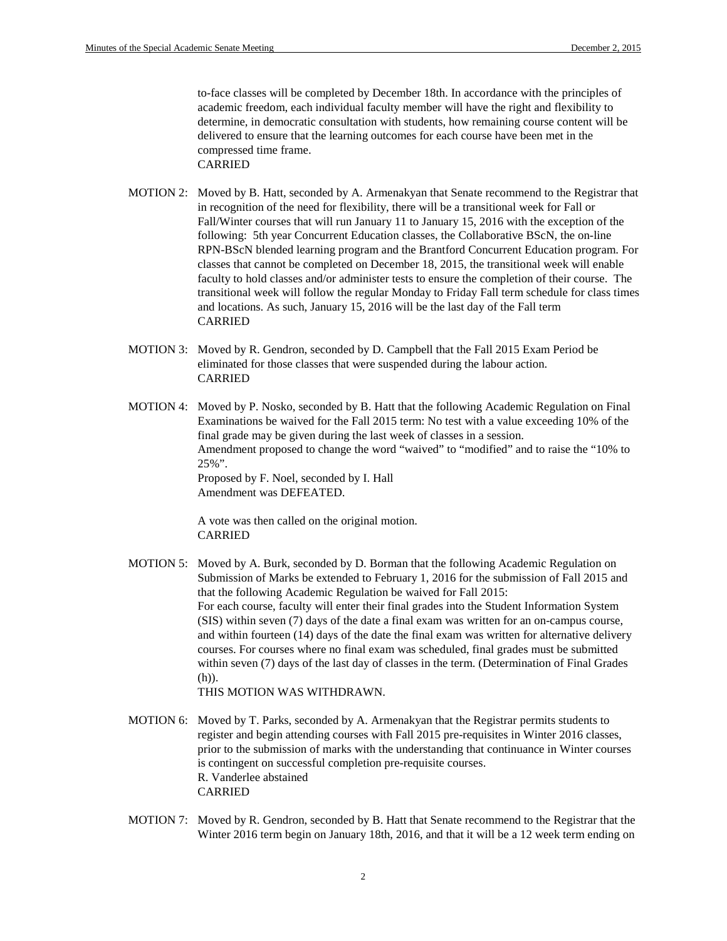to-face classes will be completed by December 18th. In accordance with the principles of academic freedom, each individual faculty member will have the right and flexibility to determine, in democratic consultation with students, how remaining course content will be delivered to ensure that the learning outcomes for each course have been met in the compressed time frame. CARRIED

- MOTION 2: Moved by B. Hatt, seconded by A. Armenakyan that Senate recommend to the Registrar that in recognition of the need for flexibility, there will be a transitional week for Fall or Fall/Winter courses that will run January 11 to January 15, 2016 with the exception of the following: 5th year Concurrent Education classes, the Collaborative BScN, the on-line RPN-BScN blended learning program and the Brantford Concurrent Education program. For classes that cannot be completed on December 18, 2015, the transitional week will enable faculty to hold classes and/or administer tests to ensure the completion of their course. The transitional week will follow the regular Monday to Friday Fall term schedule for class times and locations. As such, January 15, 2016 will be the last day of the Fall term CARRIED
- MOTION 3: Moved by R. Gendron, seconded by D. Campbell that the Fall 2015 Exam Period be eliminated for those classes that were suspended during the labour action. CARRIED
- MOTION 4: Moved by P. Nosko, seconded by B. Hatt that the following Academic Regulation on Final Examinations be waived for the Fall 2015 term: No test with a value exceeding 10% of the final grade may be given during the last week of classes in a session. Amendment proposed to change the word "waived" to "modified" and to raise the "10% to 25%". Proposed by F. Noel, seconded by I. Hall Amendment was DEFEATED.

A vote was then called on the original motion. CARRIED

MOTION 5: Moved by A. Burk, seconded by D. Borman that the following Academic Regulation on Submission of Marks be extended to February 1, 2016 for the submission of Fall 2015 and that the following Academic Regulation be waived for Fall 2015: For each course, faculty will enter their final grades into the Student Information System (SIS) within seven (7) days of the date a final exam was written for an on-campus course, and within fourteen (14) days of the date the final exam was written for alternative delivery courses. For courses where no final exam was scheduled, final grades must be submitted within seven (7) days of the last day of classes in the term. (Determination of Final Grades (h)).

THIS MOTION WAS WITHDRAWN.

- MOTION 6: Moved by T. Parks, seconded by A. Armenakyan that the Registrar permits students to register and begin attending courses with Fall 2015 pre-requisites in Winter 2016 classes, prior to the submission of marks with the understanding that continuance in Winter courses is contingent on successful completion pre-requisite courses. R. Vanderlee abstained CARRIED
- MOTION 7: Moved by R. Gendron, seconded by B. Hatt that Senate recommend to the Registrar that the Winter 2016 term begin on January 18th, 2016, and that it will be a 12 week term ending on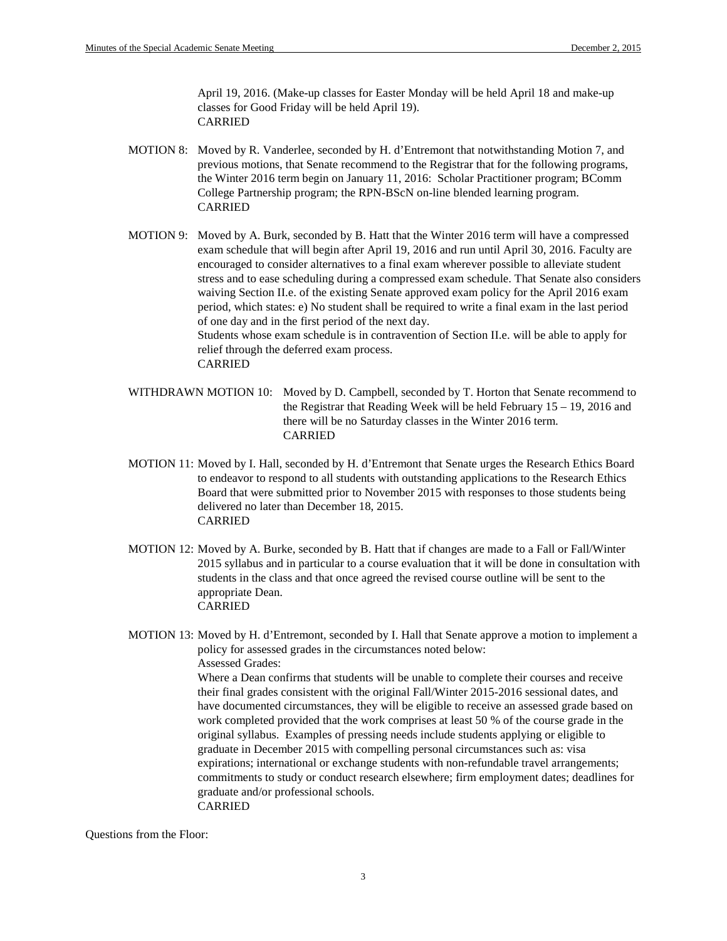April 19, 2016. (Make-up classes for Easter Monday will be held April 18 and make-up classes for Good Friday will be held April 19). CARRIED

- MOTION 8: Moved by R. Vanderlee, seconded by H. d'Entremont that notwithstanding Motion 7, and previous motions, that Senate recommend to the Registrar that for the following programs, the Winter 2016 term begin on January 11, 2016: Scholar Practitioner program; BComm College Partnership program; the RPN-BScN on-line blended learning program. CARRIED
- MOTION 9: Moved by A. Burk, seconded by B. Hatt that the Winter 2016 term will have a compressed exam schedule that will begin after April 19, 2016 and run until April 30, 2016. Faculty are encouraged to consider alternatives to a final exam wherever possible to alleviate student stress and to ease scheduling during a compressed exam schedule. That Senate also considers waiving Section II.e. of the existing Senate approved exam policy for the April 2016 exam period, which states: e) No student shall be required to write a final exam in the last period of one day and in the first period of the next day. Students whose exam schedule is in contravention of Section II.e. will be able to apply for relief through the deferred exam process. CARRIED
- WITHDRAWN MOTION 10: Moved by D. Campbell, seconded by T. Horton that Senate recommend to the Registrar that Reading Week will be held February 15 – 19, 2016 and there will be no Saturday classes in the Winter 2016 term. CARRIED
- MOTION 11: Moved by I. Hall, seconded by H. d'Entremont that Senate urges the Research Ethics Board to endeavor to respond to all students with outstanding applications to the Research Ethics Board that were submitted prior to November 2015 with responses to those students being delivered no later than December 18, 2015. CARRIED
- MOTION 12: Moved by A. Burke, seconded by B. Hatt that if changes are made to a Fall or Fall/Winter 2015 syllabus and in particular to a course evaluation that it will be done in consultation with students in the class and that once agreed the revised course outline will be sent to the appropriate Dean. CARRIED
- MOTION 13: Moved by H. d'Entremont, seconded by I. Hall that Senate approve a motion to implement a policy for assessed grades in the circumstances noted below: Assessed Grades: Where a Dean confirms that students will be unable to complete their courses and receive their final grades consistent with the original Fall/Winter 2015-2016 sessional dates, and have documented circumstances, they will be eligible to receive an assessed grade based on work completed provided that the work comprises at least 50 % of the course grade in the original syllabus. Examples of pressing needs include students applying or eligible to graduate in December 2015 with compelling personal circumstances such as: visa expirations; international or exchange students with non-refundable travel arrangements; commitments to study or conduct research elsewhere; firm employment dates; deadlines for graduate and/or professional schools. CARRIED

Questions from the Floor: